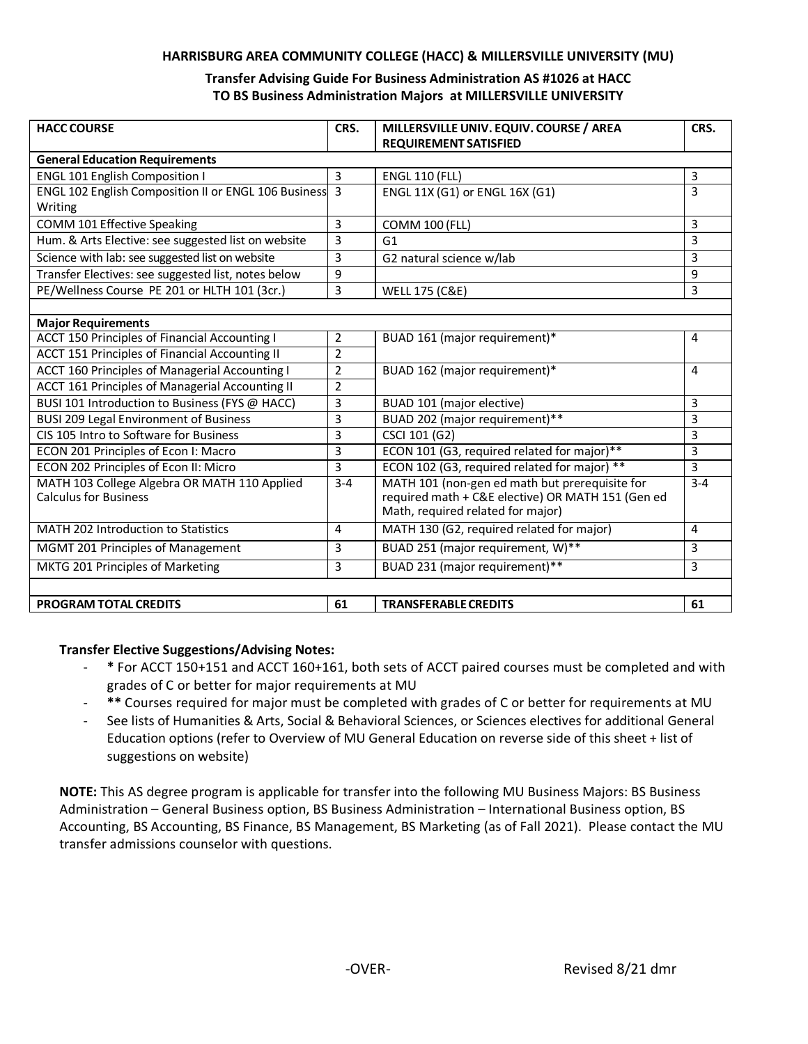#### **HARRISBURG AREA COMMUNITY COLLEGE (HACC) & MILLERSVILLE UNIVERSITY (MU)**

#### **Transfer Advising Guide For Business Administration AS #1026 at HACC TO BS Business Administration Majors at MILLERSVILLE UNIVERSITY**

| <b>HACC COURSE</b>                                     | CRS.           | MILLERSVILLE UNIV. EQUIV. COURSE / AREA<br><b>REQUIREMENT SATISFIED</b> | CRS.         |
|--------------------------------------------------------|----------------|-------------------------------------------------------------------------|--------------|
| <b>General Education Requirements</b>                  |                |                                                                         |              |
| <b>ENGL 101 English Composition I</b>                  | 3              | <b>ENGL 110 (FLL)</b>                                                   | 3            |
| ENGL 102 English Composition II or ENGL 106 Business 3 |                | ENGL 11X (G1) or ENGL 16X (G1)                                          | 3            |
| Writing                                                |                |                                                                         |              |
| COMM 101 Effective Speaking                            | 3              | <b>COMM 100 (FLL)</b>                                                   | 3            |
| Hum. & Arts Elective: see suggested list on website    | 3              | G1                                                                      | 3            |
| Science with lab: see suggested list on website        | 3              | G2 natural science w/lab                                                | 3            |
| Transfer Electives: see suggested list, notes below    | 9              |                                                                         | 9            |
| PE/Wellness Course PE 201 or HLTH 101 (3cr.)           | 3              | <b>WELL 175 (C&amp;E)</b>                                               | 3            |
|                                                        |                |                                                                         |              |
| <b>Major Requirements</b>                              |                |                                                                         |              |
| <b>ACCT 150 Principles of Financial Accounting I</b>   | 2              | BUAD 161 (major requirement)*                                           | 4            |
| <b>ACCT 151 Principles of Financial Accounting II</b>  | $\overline{2}$ |                                                                         |              |
| ACCT 160 Principles of Managerial Accounting I         | 2              | BUAD 162 (major requirement)*                                           | 4            |
| ACCT 161 Principles of Managerial Accounting II        | $\overline{2}$ |                                                                         |              |
| BUSI 101 Introduction to Business (FYS @ HACC)         | 3              | BUAD 101 (major elective)                                               | 3            |
| <b>BUSI 209 Legal Environment of Business</b>          | 3              | BUAD 202 (major requirement)**                                          | 3            |
| CIS 105 Intro to Software for Business                 | 3              | CSCI 101 (G2)                                                           | 3            |
| ECON 201 Principles of Econ I: Macro                   | 3              | ECON 101 (G3, required related for major)**                             | 3            |
| ECON 202 Principles of Econ II: Micro                  | 3              | ECON 102 (G3, required related for major) **                            | 3            |
| MATH 103 College Algebra OR MATH 110 Applied           | $3 - 4$        | MATH 101 (non-gen ed math but prerequisite for                          | $3 - 4$      |
| <b>Calculus for Business</b>                           |                | required math + C&E elective) OR MATH 151 (Gen ed                       |              |
|                                                        |                | Math, required related for major)                                       |              |
| MATH 202 Introduction to Statistics                    | 4              | MATH 130 (G2, required related for major)                               | 4            |
| MGMT 201 Principles of Management                      | 3              | BUAD 251 (major requirement, W)**                                       | 3            |
| MKTG 201 Principles of Marketing                       | 3              | BUAD 231 (major requirement)**                                          | $\mathsf{3}$ |
|                                                        |                |                                                                         |              |
| <b>PROGRAM TOTAL CREDITS</b>                           | 61             | <b>TRANSFERABLE CREDITS</b>                                             | 61           |

### **Transfer Elective Suggestions/Advising Notes:**

- **\*** For ACCT 150+151 and ACCT 160+161, both sets of ACCT paired courses must be completed and with grades of C or better for major requirements at MU
- **\*\*** Courses required for major must be completed with grades of C or better for requirements at MU
- See lists of Humanities & Arts, Social & Behavioral Sciences, or Sciences electives for additional General Education options (refer to Overview of MU General Education on reverse side of this sheet + list of suggestions on website)

**NOTE:** This AS degree program is applicable for transfer into the following MU Business Majors: BS Business Administration – General Business option, BS Business Administration – International Business option, BS Accounting, BS Accounting, BS Finance, BS Management, BS Marketing (as of Fall 2021). Please contact the MU transfer admissions counselor with questions.